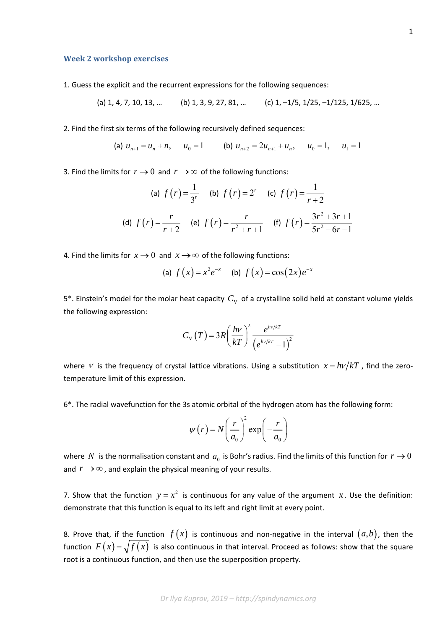## **Week 2 workshop exercises**

1. Guess the explicit and the recurrent expressions for the following sequences:

(a) 1, 4, 7, 10, 13, … (b) 1, 3, 9, 27, 81, … (c) 1, –1/5, 1/25, –1/125, 1/625, …

2. Find the first six terms of the following recursively defined sequences:

(a) 
$$
u_{n+1} = u_n + n
$$
,  $u_0 = 1$  (b)  $u_{n+2} = 2u_{n+1} + u_n$ ,  $u_0 = 1$ ,  $u_1 = 1$ 

3. Find the limits for  $r \to 0$  and  $r \to \infty$  of the following functions:

(a) 
$$
f(r) = \frac{1}{3^r}
$$
 (b)  $f(r) = 2^r$  (c)  $f(r) = \frac{1}{r+2}$   
(d)  $f(r) = \frac{r}{r+2}$  (e)  $f(r) = \frac{r}{r^2 + r + 1}$  (f)  $f(r) = \frac{3r^2 + 3r + 1}{5r^2 - 6r - 1}$ 

4. Find the limits for  $x \to 0$  and  $x \to \infty$  of the following functions:

(a) 
$$
f(x) = x^2 e^{-x}
$$
 (b)  $f(x) = \cos(2x) e^{-x}$ 

5<sup>\*</sup>. Einstein's model for the molar heat capacity  $C_{V}$  of a crystalline solid held at constant volume yields the following expression:

$$
C_{\rm V}(T) = 3R \left(\frac{h\nu}{kT}\right)^2 \frac{e^{h\nu/kT}}{\left(e^{h\nu/kT} - 1\right)^2}
$$

where V is the frequency of crystal lattice vibrations. Using a substitution  $x = h v / kT$ , find the zerotemperature limit of this expression.

6\*. The radial wavefunction for the 3s atomic orbital of the hydrogen atom has the following form:

$$
\psi(r) = N \left(\frac{r}{a_0}\right)^2 \exp\left(-\frac{r}{a_0}\right)
$$

where N is the normalisation constant and  $a_0$  is Bohr's radius. Find the limits of this function for  $r \to 0$ and  $r \rightarrow \infty$ , and explain the physical meaning of your results.

7. Show that the function  $y = x^2$  is continuous for any value of the argument x. Use the definition: demonstrate that this function is equal to its left and right limit at every point.

8. Prove that, if the function  $f(x)$  is continuous and non-negative in the interval  $(a,b)$ , then the function  $F(x) = \sqrt{f(x)}$  is also continuous in that interval. Proceed as follows: show that the square root is a continuous function, and then use the superposition property.